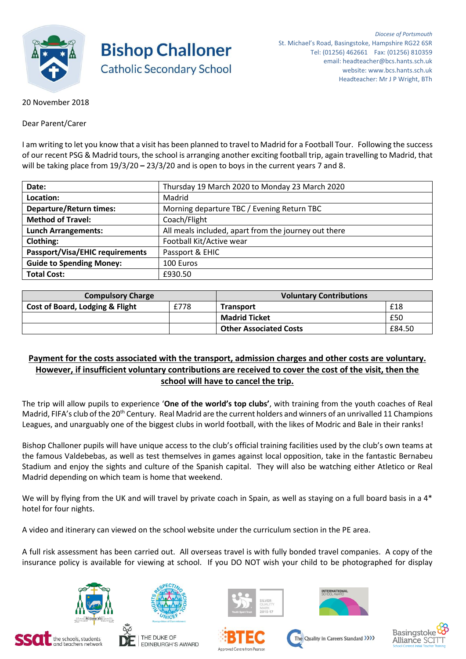

**Bishop Challoner Catholic Secondary School** 

20 November 2018

Dear Parent/Carer

I am writing to let you know that a visit has been planned to travel to Madrid for a Football Tour. Following the success of our recent PSG & Madrid tours, the school is arranging another exciting football trip, again travelling to Madrid, that will be taking place from 19/3/20 **–** 23/3/20 and is open to boys in the current years 7 and 8.

| Date:                                  | Thursday 19 March 2020 to Monday 23 March 2020       |
|----------------------------------------|------------------------------------------------------|
| Location:                              | Madrid                                               |
| <b>Departure/Return times:</b>         | Morning departure TBC / Evening Return TBC           |
| <b>Method of Travel:</b>               | Coach/Flight                                         |
| <b>Lunch Arrangements:</b>             | All meals included, apart from the journey out there |
| <b>Clothing:</b>                       | Football Kit/Active wear                             |
| <b>Passport/Visa/EHIC requirements</b> | Passport & EHIC                                      |
| <b>Guide to Spending Money:</b>        | 100 Euros                                            |
| <b>Total Cost:</b>                     | £930.50                                              |

| <b>Compulsory Charge</b>        |      | <b>Voluntary Contributions</b> |        |  |
|---------------------------------|------|--------------------------------|--------|--|
| Cost of Board, Lodging & Flight | £778 | <b>Transport</b>               | £18    |  |
|                                 |      | <b>Madrid Ticket</b>           | £50    |  |
|                                 |      | <b>Other Associated Costs</b>  | £84.50 |  |

## **Payment for the costs associated with the transport, admission charges and other costs are voluntary. However, if insufficient voluntary contributions are received to cover the cost of the visit, then the school will have to cancel the trip.**

The trip will allow pupils to experience '**One of the world's top clubs'**, with training from the youth coaches of Real Madrid, FIFA's club of the 20<sup>th</sup> Century. Real Madrid are the current holders and winners of an unrivalled 11 Champions Leagues, and unarguably one of the biggest clubs in world football, with the likes of Modric and Bale in their ranks!

Bishop Challoner pupils will have unique access to the club's official training facilities used by the club's own teams at the famous Valdebebas, as well as test themselves in games against local opposition, take in the fantastic Bernabeu Stadium and enjoy the sights and culture of the Spanish capital. They will also be watching either Atletico or Real Madrid depending on which team is home that weekend.

We will by flying from the UK and will travel by private coach in Spain, as well as staying on a full board basis in a 4\* hotel for four nights.

A video and itinerary can viewed on the school website under the curriculum section in the PE area.

A full risk assessment has been carried out. All overseas travel is with fully bonded travel companies. A copy of the insurance policy is available for viewing at school. If you DO NOT wish your child to be photographed for display















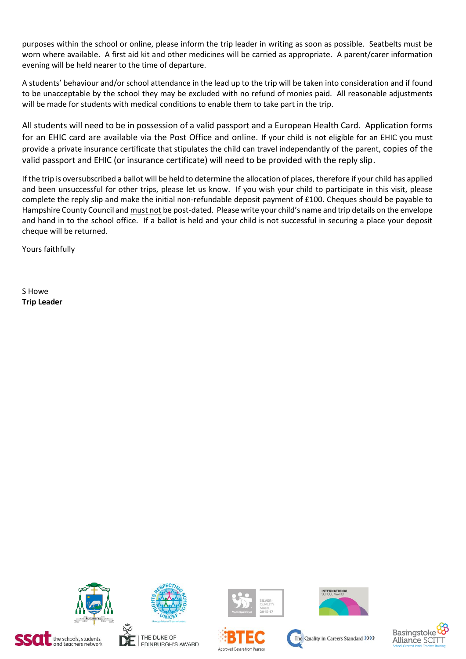purposes within the school or online, please inform the trip leader in writing as soon as possible. Seatbelts must be worn where available. A first aid kit and other medicines will be carried as appropriate. A parent/carer information evening will be held nearer to the time of departure.

A students' behaviour and/or school attendance in the lead up to the trip will be taken into consideration and if found to be unacceptable by the school they may be excluded with no refund of monies paid. All reasonable adjustments will be made for students with medical conditions to enable them to take part in the trip.

All students will need to be in possession of a valid passport and a European Health Card. Application forms for an EHIC card are available via the Post Office and online. If your child is not eligible for an EHIC you must provide a private insurance certificate that stipulates the child can travel independantly of the parent, copies of the valid passport and EHIC (or insurance certificate) will need to be provided with the reply slip.

If the trip is oversubscribed a ballot will be held to determine the allocation of places, therefore if your child has applied and been unsuccessful for other trips, please let us know. If you wish your child to participate in this visit, please complete the reply slip and make the initial non-refundable deposit payment of £100. Cheques should be payable to Hampshire County Council and must not be post-dated. Please write your child's name and trip details on the envelope and hand in to the school office. If a ballot is held and your child is not successful in securing a place your deposit cheque will be returned.

Yours faithfully

S Howe **Trip Leader**



 $\Box$  the schools, students